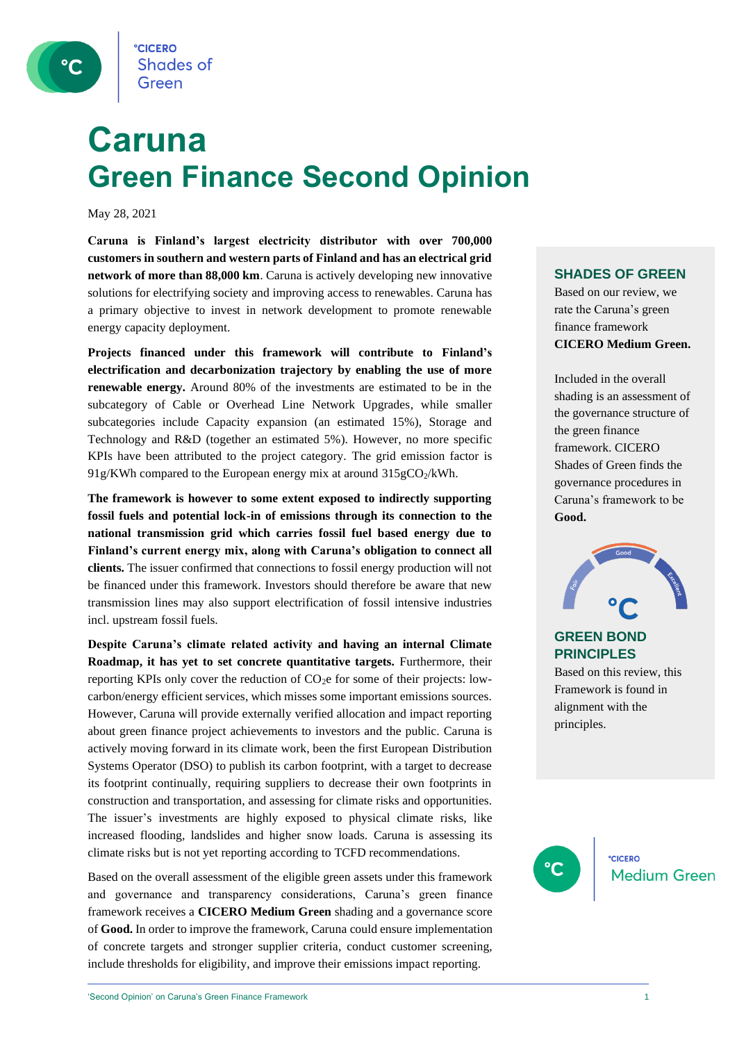

## **Caruna Green Finance Second Opinion**

May 28, 2021

**Caruna is Finland's largest electricity distributor with over 700,000 customers in southern and western parts of Finland and has an electrical grid network of more than 88,000 km**. Caruna is actively developing new innovative solutions for electrifying society and improving access to renewables. Caruna has a primary objective to invest in network development to promote renewable energy capacity deployment.

**Projects financed under this framework will contribute to Finland's electrification and decarbonization trajectory by enabling the use of more renewable energy.** Around 80% of the investments are estimated to be in the subcategory of Cable or Overhead Line Network Upgrades, while smaller subcategories include Capacity expansion (an estimated 15%), Storage and Technology and R&D (together an estimated 5%). However, no more specific KPIs have been attributed to the project category. The grid emission factor is 91g/KWh compared to the European energy mix at around  $315gCO<sub>2</sub>/kWh$ .

**The framework is however to some extent exposed to indirectly supporting fossil fuels and potential lock-in of emissions through its connection to the national transmission grid which carries fossil fuel based energy due to Finland's current energy mix, along with Caruna's obligation to connect all clients.** The issuer confirmed that connections to fossil energy production will not be financed under this framework. Investors should therefore be aware that new transmission lines may also support electrification of fossil intensive industries incl. upstream fossil fuels.

**Despite Caruna's climate related activity and having an internal Climate Roadmap, it has yet to set concrete quantitative targets.** Furthermore, their reporting KPIs only cover the reduction of CO2e for some of their projects: lowcarbon/energy efficient services, which misses some important emissions sources. However, Caruna will provide externally verified allocation and impact reporting about green finance project achievements to investors and the public. Caruna is actively moving forward in its climate work, been the first European Distribution Systems Operator (DSO) to publish its carbon footprint, with a target to decrease its footprint continually, requiring suppliers to decrease their own footprints in construction and transportation, and assessing for climate risks and opportunities. The issuer's investments are highly exposed to physical climate risks, like increased flooding, landslides and higher snow loads. Caruna is assessing its climate risks but is not yet reporting according to TCFD recommendations.

Based on the overall assessment of the eligible green assets under this framework and governance and transparency considerations, Caruna's green finance framework receives a **CICERO Medium Green** shading and a governance score of **Good.** In order to improve the framework, Caruna could ensure implementation of concrete targets and stronger supplier criteria, conduct customer screening, include thresholds for eligibility, and improve their emissions impact reporting.

#### **SHADES OF GREEN**

Based on our review, we rate the Caruna's green finance framework **CICERO Medium Green.** 

Included in the overall shading is an assessment of the governance structure of the green finance framework. CICERO Shades of Green finds the governance procedures in Caruna's framework to be **Good.**



#### **GREEN BOND PRINCIPLES**

Based on this review, this Framework is found in alignment with the principles.

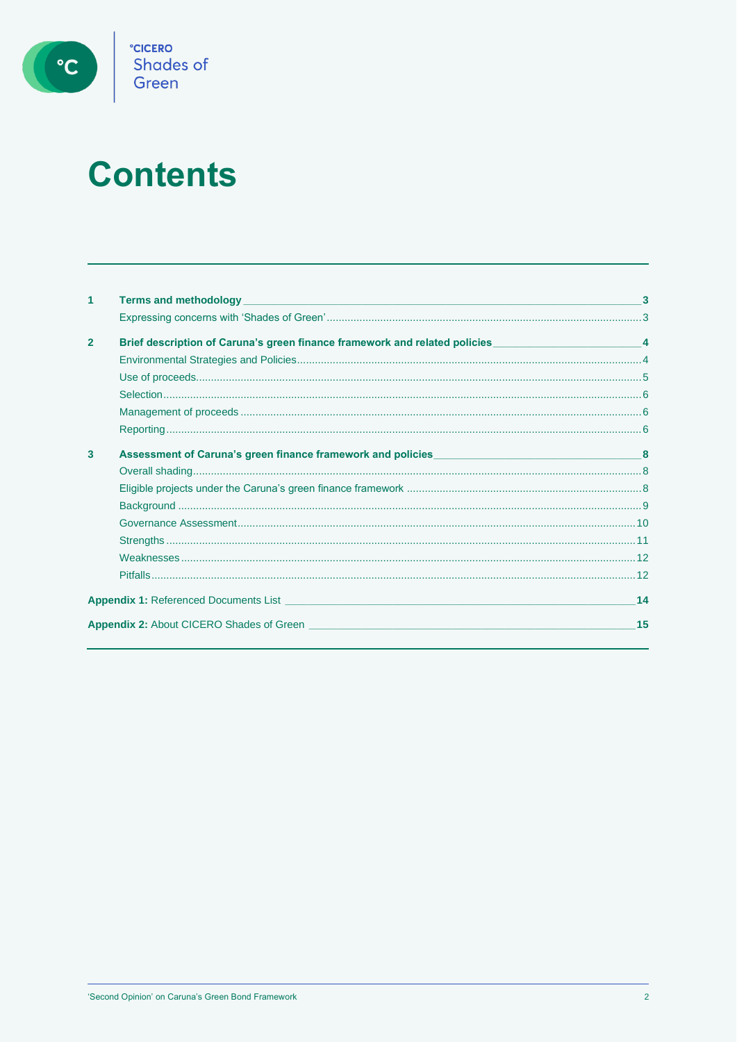

# **Contents**

| 1              |                                                                                                                                                                                                                                           | 3  |
|----------------|-------------------------------------------------------------------------------------------------------------------------------------------------------------------------------------------------------------------------------------------|----|
|                |                                                                                                                                                                                                                                           |    |
| $\overline{2}$ | Brief description of Caruna's green finance framework and related policies __________________________________4                                                                                                                            |    |
|                |                                                                                                                                                                                                                                           |    |
|                |                                                                                                                                                                                                                                           |    |
|                |                                                                                                                                                                                                                                           |    |
|                |                                                                                                                                                                                                                                           |    |
|                |                                                                                                                                                                                                                                           |    |
| 3              |                                                                                                                                                                                                                                           |    |
|                |                                                                                                                                                                                                                                           |    |
|                |                                                                                                                                                                                                                                           |    |
|                |                                                                                                                                                                                                                                           |    |
|                |                                                                                                                                                                                                                                           |    |
|                |                                                                                                                                                                                                                                           |    |
|                |                                                                                                                                                                                                                                           |    |
|                |                                                                                                                                                                                                                                           |    |
|                | <b>Appendix 1:</b> Referenced Documents List <b>Constantine Constantine Constantine Constantine Constantine Constantine Constantine Constantine Constantine Constantine Constantine Constantine Constantine Constantine Constantine C</b> | 14 |
|                | <b>Appendix 2:</b> About CICERO Shades of Green                                                                                                                                                                                           | 15 |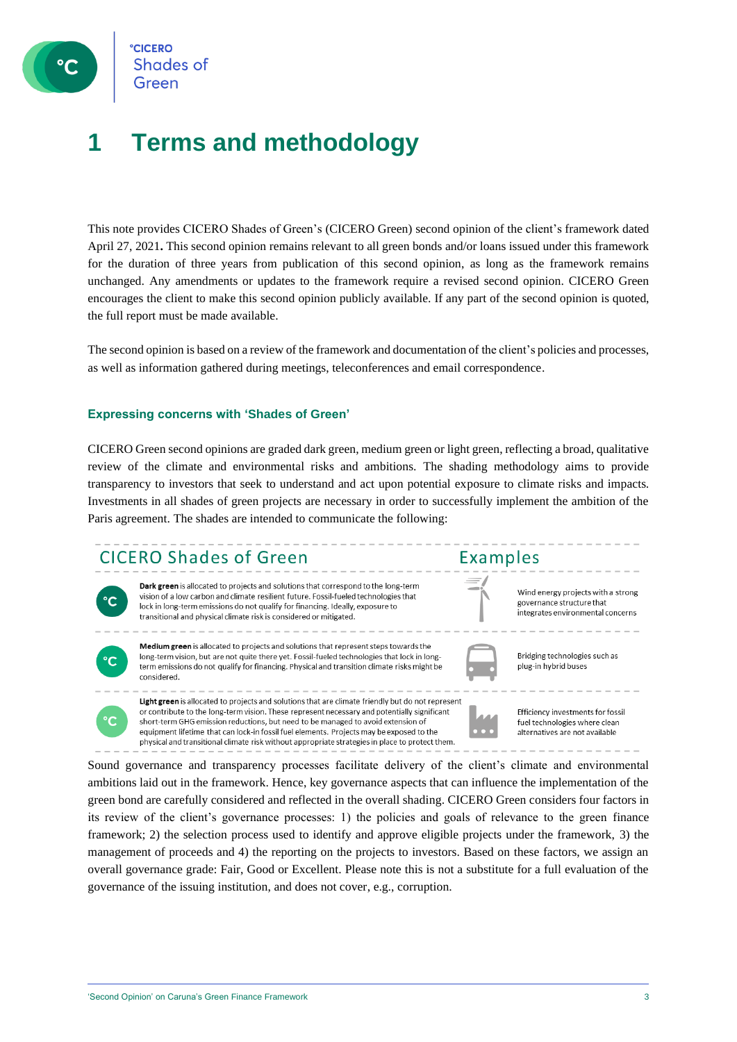

**CICERO Shades of** Green

### **1 Terms and methodology**

This note provides CICERO Shades of Green's (CICERO Green) second opinion of the client's framework dated April 27, 2021**.** This second opinion remains relevant to all green bonds and/or loans issued under this framework for the duration of three years from publication of this second opinion, as long as the framework remains unchanged. Any amendments or updates to the framework require a revised second opinion. CICERO Green encourages the client to make this second opinion publicly available. If any part of the second opinion is quoted, the full report must be made available.

The second opinion is based on a review of the framework and documentation of the client's policies and processes, as well as information gathered during meetings, teleconferences and email correspondence.

#### **Expressing concerns with 'Shades of Green'**

CICERO Green second opinions are graded dark green, medium green or light green, reflecting a broad, qualitative review of the climate and environmental risks and ambitions. The shading methodology aims to provide transparency to investors that seek to understand and act upon potential exposure to climate risks and impacts. Investments in all shades of green projects are necessary in order to successfully implement the ambition of the Paris agreement. The shades are intended to communicate the following:

### **CICERO Shades of Green**



Dark green is allocated to projects and solutions that correspond to the long-term vision of a low carbon and climate resilient future. Fossil-fueled technologies that lock in long-term emissions do not qualify for financing. Ideally, exposure to transitional and physical climate risk is considered or mitigated.



 $\overline{C}$ 

Medium green is allocated to projects and solutions that represent steps towards the long-term vision, but are not quite there yet. Fossil-fueled technologies that lock in longterm emissions do not qualify for financing. Physical and transition climate risks might be considered.

Light green is allocated to projects and solutions that are climate friendly but do not represent or contribute to the long-term vision. These represent necessary and potentially significant short-term GHG emission reductions, but need to be managed to avoid extension of equipment lifetime that can lock-in fossil fuel elements. Projects may be exposed to the physical and transitional climate risk without appropriate strategies in place to protect them.



Examples

Efficiency investments for fossil fuel technologies where clean alternatives are not available

Wind energy projects with a strong

integrates environmental concerns

governance structure that

Bridging technologies such as

plug-in hybrid buses

Sound governance and transparency processes facilitate delivery of the client's climate and environmental ambitions laid out in the framework. Hence, key governance aspects that can influence the implementation of the green bond are carefully considered and reflected in the overall shading. CICERO Green considers four factors in its review of the client's governance processes: 1) the policies and goals of relevance to the green finance framework; 2) the selection process used to identify and approve eligible projects under the framework, 3) the management of proceeds and 4) the reporting on the projects to investors. Based on these factors, we assign an overall governance grade: Fair, Good or Excellent. Please note this is not a substitute for a full evaluation of the governance of the issuing institution, and does not cover, e.g., corruption.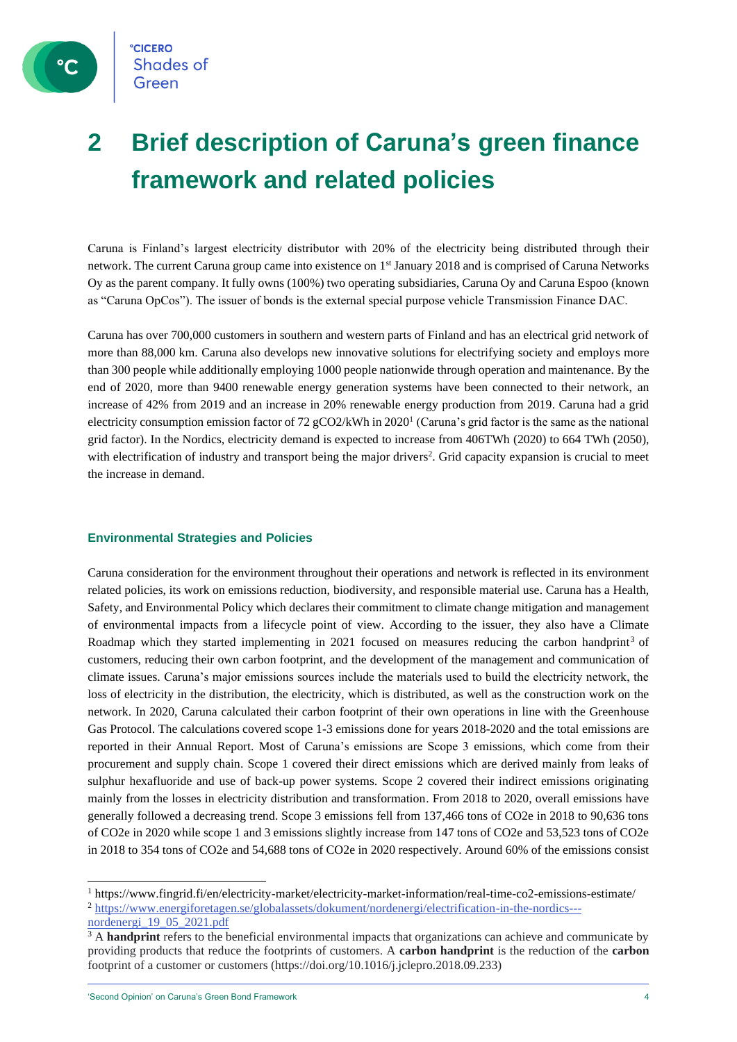## **2 Brief description of Caruna's green finance framework and related policies**

Caruna is Finland's largest electricity distributor with 20% of the electricity being distributed through their network. The current Caruna group came into existence on 1<sup>st</sup> January 2018 and is comprised of Caruna Networks Oy as the parent company. It fully owns (100%) two operating subsidiaries, Caruna Oy and Caruna Espoo (known as "Caruna OpCos"). The issuer of bonds is the external special purpose vehicle Transmission Finance DAC.

Caruna has over 700,000 customers in southern and western parts of Finland and has an electrical grid network of more than 88,000 km. Caruna also develops new innovative solutions for electrifying society and employs more than 300 people while additionally employing 1000 people nationwide through operation and maintenance. By the end of 2020, more than 9400 renewable energy generation systems have been connected to their network, an increase of 42% from 2019 and an increase in 20% renewable energy production from 2019. Caruna had a grid electricity consumption emission factor of 72 gCO2/kWh in 2020<sup>1</sup> (Caruna's grid factor is the same as the national grid factor). In the Nordics, electricity demand is expected to increase from 406TWh (2020) to 664 TWh (2050), with electrification of industry and transport being the major drivers<sup>2</sup>. Grid capacity expansion is crucial to meet the increase in demand.

#### **Environmental Strategies and Policies**

Caruna consideration for the environment throughout their operations and network is reflected in its environment related policies, its work on emissions reduction, biodiversity, and responsible material use. Caruna has a Health, Safety, and Environmental Policy which declares their commitment to climate change mitigation and management of environmental impacts from a lifecycle point of view. According to the issuer, they also have a Climate Roadmap which they started implementing in 2021 focused on measures reducing the carbon handprint<sup>3</sup> of customers, reducing their own carbon footprint, and the development of the management and communication of climate issues. Caruna's major emissions sources include the materials used to build the electricity network, the loss of electricity in the distribution, the electricity, which is distributed, as well as the construction work on the network. In 2020, Caruna calculated their carbon footprint of their own operations in line with the Greenhouse Gas Protocol. The calculations covered scope 1-3 emissions done for years 2018-2020 and the total emissions are reported in their Annual Report. Most of Caruna's emissions are Scope 3 emissions, which come from their procurement and supply chain. Scope 1 covered their direct emissions which are derived mainly from leaks of sulphur hexafluoride and use of back-up power systems. Scope 2 covered their indirect emissions originating mainly from the losses in electricity distribution and transformation. From 2018 to 2020, overall emissions have generally followed a decreasing trend. Scope 3 emissions fell from 137,466 tons of CO2e in 2018 to 90,636 tons of CO2e in 2020 while scope 1 and 3 emissions slightly increase from 147 tons of CO2e and 53,523 tons of CO2e in 2018 to 354 tons of CO2e and 54,688 tons of CO2e in 2020 respectively. Around 60% of the emissions consist

 $^{\rm 1}$ https://www.fingrid.fi/en/electricity-market/electricity-market-information/real-time-co2-emissions-estimate/ <sup>2</sup> [https://www.energiforetagen.se/globalassets/dokument/nordenergi/electrification-in-the-nordics---](https://www.energiforetagen.se/globalassets/dokument/nordenergi/electrification-in-the-nordics---nordenergi_19_05_2021.pdf)

[nordenergi\\_19\\_05\\_2021.pdf](https://www.energiforetagen.se/globalassets/dokument/nordenergi/electrification-in-the-nordics---nordenergi_19_05_2021.pdf)

<sup>&</sup>lt;sup>3</sup> A **handprint** refers to the beneficial environmental impacts that organizations can achieve and communicate by providing products that reduce the footprints of customers. A **carbon handprint** is the reduction of the **carbon** footprint of a customer or customers (https://doi.org/10.1016/j.jclepro.2018.09.233)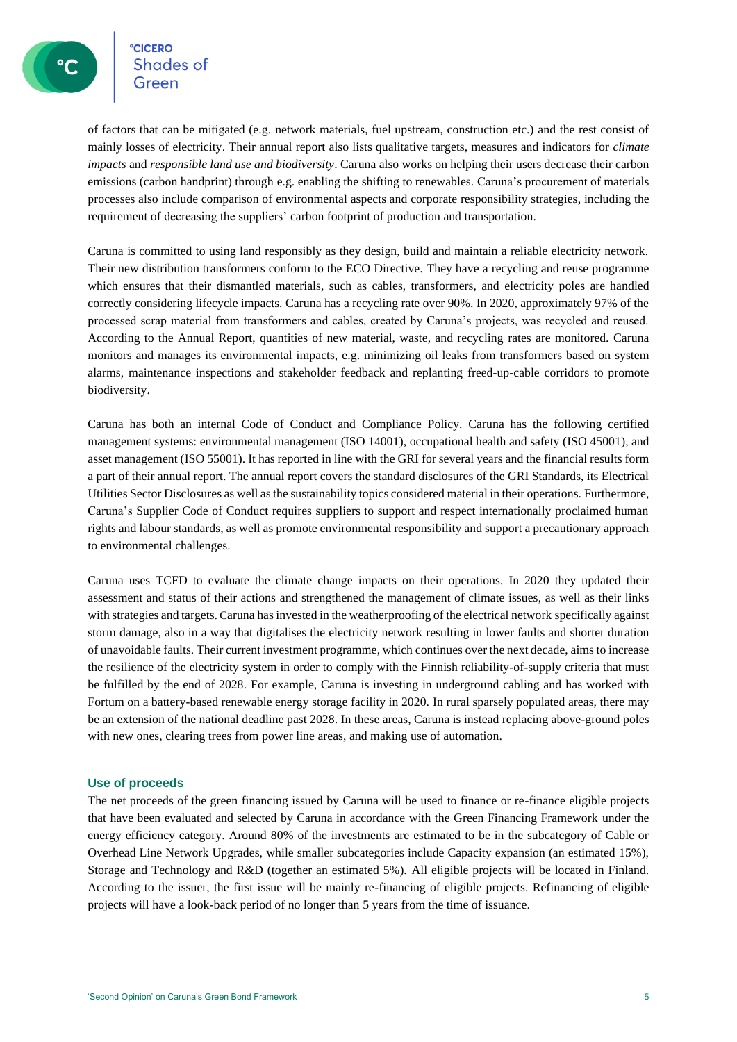### **CICERO** Shades of

of factors that can be mitigated (e.g. network materials, fuel upstream, construction etc.) and the rest consist of mainly losses of electricity. Their annual report also lists qualitative targets, measures and indicators for *climate impacts* and *responsible land use and biodiversity*. Caruna also works on helping their users decrease their carbon emissions (carbon handprint) through e.g. enabling the shifting to renewables. Caruna's procurement of materials processes also include comparison of environmental aspects and corporate responsibility strategies, including the requirement of decreasing the suppliers' carbon footprint of production and transportation.

Caruna is committed to using land responsibly as they design, build and maintain a reliable electricity network. Their new distribution transformers conform to the ECO Directive. They have a recycling and reuse programme which ensures that their dismantled materials, such as cables, transformers, and electricity poles are handled correctly considering lifecycle impacts. Caruna has a recycling rate over 90%. In 2020, approximately 97% of the processed scrap material from transformers and cables, created by Caruna's projects, was recycled and reused. According to the Annual Report, quantities of new material, waste, and recycling rates are monitored. Caruna monitors and manages its environmental impacts, e.g. minimizing oil leaks from transformers based on system alarms, maintenance inspections and stakeholder feedback and replanting freed-up-cable corridors to promote biodiversity.

Caruna has both an internal Code of Conduct and Compliance Policy. Caruna has the following certified management systems: environmental management (ISO 14001), occupational health and safety (ISO 45001), and asset management (ISO 55001). It has reported in line with the GRI for several years and the financial results form a part of their annual report. The annual report covers the standard disclosures of the GRI Standards, its Electrical Utilities Sector Disclosures as well as the sustainability topics considered material in their operations. Furthermore, Caruna's Supplier Code of Conduct requires suppliers to support and respect internationally proclaimed human rights and labour standards, as well as promote environmental responsibility and support a precautionary approach to environmental challenges.

Caruna uses TCFD to evaluate the climate change impacts on their operations. In 2020 they updated their assessment and status of their actions and strengthened the management of climate issues, as well as their links with strategies and targets. Caruna has invested in the weatherproofing of the electrical network specifically against storm damage, also in a way that digitalises the electricity network resulting in lower faults and shorter duration of unavoidable faults. Their current investment programme, which continues over the next decade, aims to increase the resilience of the electricity system in order to comply with the Finnish reliability-of-supply criteria that must be fulfilled by the end of 2028. For example, Caruna is investing in underground cabling and has worked with Fortum on a battery-based renewable energy storage facility in 2020. In rural sparsely populated areas, there may be an extension of the national deadline past 2028. In these areas, Caruna is instead replacing above-ground poles with new ones, clearing trees from power line areas, and making use of automation.

#### **Use of proceeds**

The net proceeds of the green financing issued by Caruna will be used to finance or re-finance eligible projects that have been evaluated and selected by Caruna in accordance with the Green Financing Framework under the energy efficiency category. Around 80% of the investments are estimated to be in the subcategory of Cable or Overhead Line Network Upgrades, while smaller subcategories include Capacity expansion (an estimated 15%), Storage and Technology and R&D (together an estimated 5%). All eligible projects will be located in Finland. According to the issuer, the first issue will be mainly re-financing of eligible projects. Refinancing of eligible projects will have a look-back period of no longer than 5 years from the time of issuance.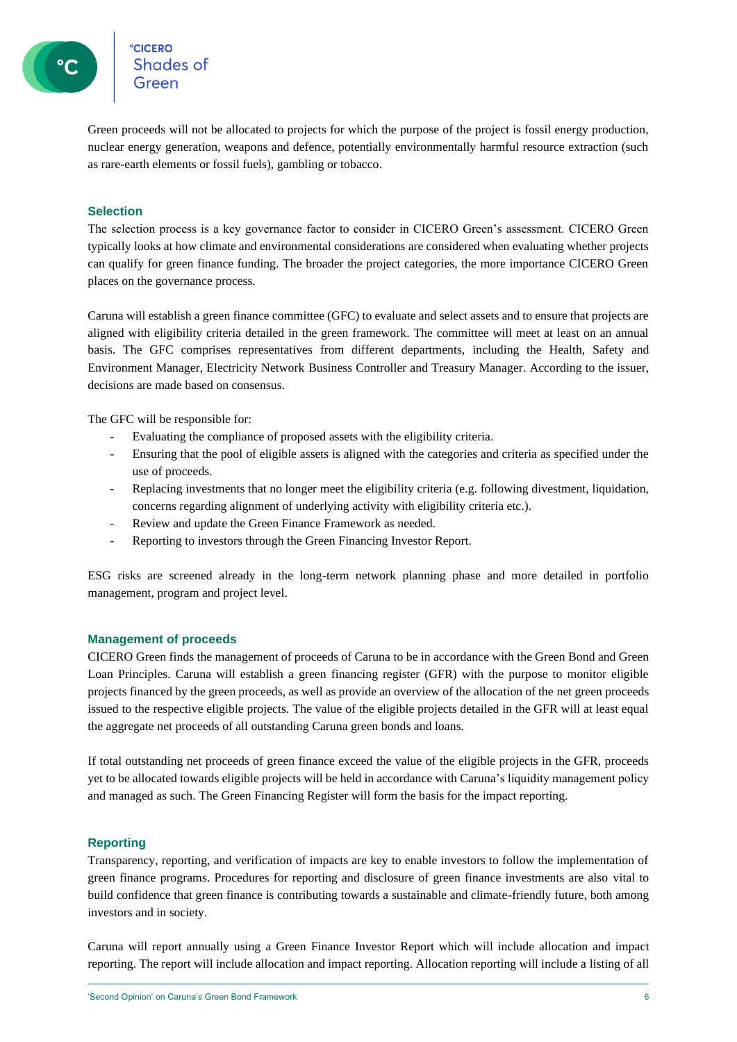Green proceeds will not be allocated to projects for which the purpose of the project is fossil energy production, nuclear energy generation, weapons and defence, potentially environmentally harmful resource extraction (such as rare-earth elements or fossil fuels), gambling or tobacco.

#### **Selection**

The selection process is a key governance factor to consider in CICERO Green's assessment. CICERO Green typically looks at how climate and environmental considerations are considered when evaluating whether projects can qualify for green finance funding. The broader the project categories, the more importance CICERO Green places on the governance process.

Caruna will establish a green finance committee (GFC) to evaluate and select assets and to ensure that projects are aligned with eligibility criteria detailed in the green framework. The committee will meet at least on an annual basis. The GFC comprises representatives from different departments, including the Health, Safety and Environment Manager, Electricity Network Business Controller and Treasury Manager. According to the issuer, decisions are made based on consensus.

The GFC will be responsible for:

- Evaluating the compliance of proposed assets with the eligibility criteria.
- Ensuring that the pool of eligible assets is aligned with the categories and criteria as specified under the use of proceeds.
- Replacing investments that no longer meet the eligibility criteria (e.g. following divestment, liquidation, concerns regarding alignment of underlying activity with eligibility criteria etc.).
- Review and update the Green Finance Framework as needed.
- Reporting to investors through the Green Financing Investor Report.

ESG risks are screened already in the long-term network planning phase and more detailed in portfolio management, program and project level.

#### **Management of proceeds**

CICERO Green finds the management of proceeds of Caruna to be in accordance with the Green Bond and Green Loan Principles. Caruna will establish a green financing register (GFR) with the purpose to monitor eligible projects financed by the green proceeds, as well as provide an overview of the allocation of the net green proceeds issued to the respective eligible projects. The value of the eligible projects detailed in the GFR will at least equal the aggregate net proceeds of all outstanding Caruna green bonds and loans.

If total outstanding net proceeds of green finance exceed the value of the eligible projects in the GFR, proceeds yet to be allocated towards eligible projects will be held in accordance with Caruna's liquidity management policy and managed as such. The Green Financing Register will form the basis for the impact reporting.

#### **Reporting**

Transparency, reporting, and verification of impacts are key to enable investors to follow the implementation of green finance programs. Procedures for reporting and disclosure of green finance investments are also vital to build confidence that green finance is contributing towards a sustainable and climate-friendly future, both among investors and in society.

Caruna will report annually using a Green Finance Investor Report which will include allocation and impact reporting. The report will include allocation and impact reporting. Allocation reporting will include a listing of all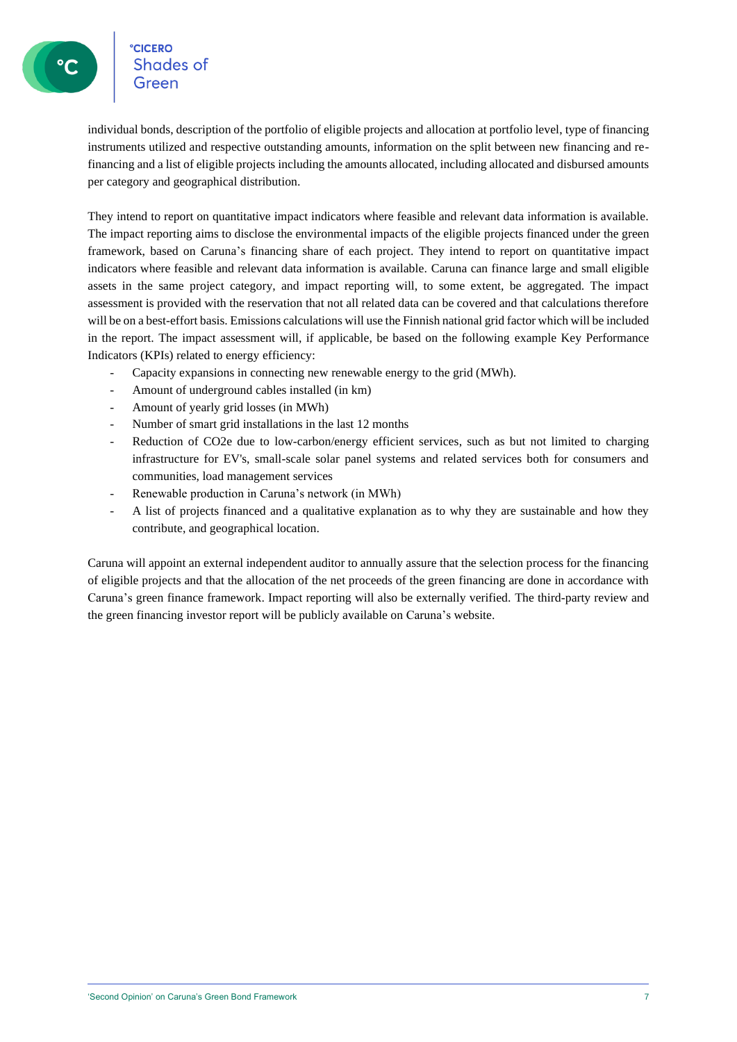### **CICERO Shades of**

individual bonds, description of the portfolio of eligible projects and allocation at portfolio level, type of financing instruments utilized and respective outstanding amounts, information on the split between new financing and refinancing and a list of eligible projects including the amounts allocated, including allocated and disbursed amounts per category and geographical distribution.

They intend to report on quantitative impact indicators where feasible and relevant data information is available. The impact reporting aims to disclose the environmental impacts of the eligible projects financed under the green framework, based on Caruna's financing share of each project. They intend to report on quantitative impact indicators where feasible and relevant data information is available. Caruna can finance large and small eligible assets in the same project category, and impact reporting will, to some extent, be aggregated. The impact assessment is provided with the reservation that not all related data can be covered and that calculations therefore will be on a best-effort basis. Emissions calculations will use the Finnish national grid factor which will be included in the report. The impact assessment will, if applicable, be based on the following example Key Performance Indicators (KPIs) related to energy efficiency:

- Capacity expansions in connecting new renewable energy to the grid (MWh).
- Amount of underground cables installed (in km)
- Amount of yearly grid losses (in MWh)
- Number of smart grid installations in the last 12 months
- Reduction of CO2e due to low-carbon/energy efficient services, such as but not limited to charging infrastructure for EV's, small-scale solar panel systems and related services both for consumers and communities, load management services
- Renewable production in Caruna's network (in MWh)
- A list of projects financed and a qualitative explanation as to why they are sustainable and how they contribute, and geographical location.

Caruna will appoint an external independent auditor to annually assure that the selection process for the financing of eligible projects and that the allocation of the net proceeds of the green financing are done in accordance with Caruna's green finance framework. Impact reporting will also be externally verified. The third-party review and the green financing investor report will be publicly available on Caruna's website.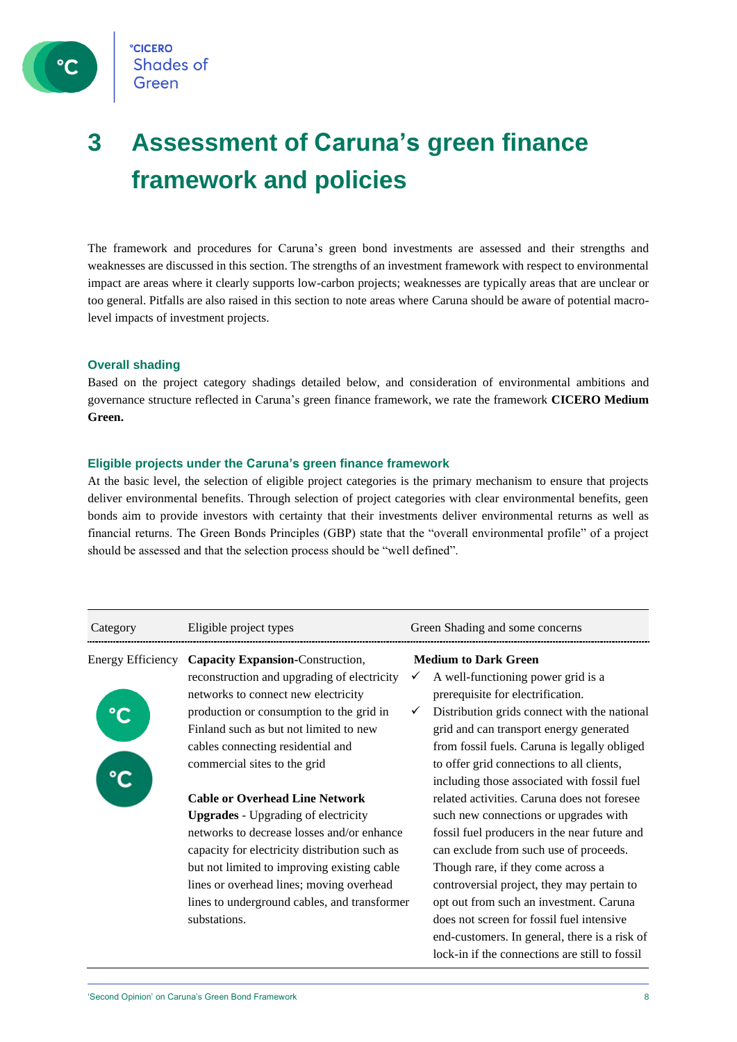

## **3 Assessment of Caruna's green finance framework and policies**

The framework and procedures for Caruna's green bond investments are assessed and their strengths and weaknesses are discussed in this section. The strengths of an investment framework with respect to environmental impact are areas where it clearly supports low-carbon projects; weaknesses are typically areas that are unclear or too general. Pitfalls are also raised in this section to note areas where Caruna should be aware of potential macrolevel impacts of investment projects.

#### **Overall shading**

Based on the project category shadings detailed below, and consideration of environmental ambitions and governance structure reflected in Caruna's green finance framework, we rate the framework **CICERO Medium Green.**

#### **Eligible projects under the Caruna's green finance framework**

At the basic level, the selection of eligible project categories is the primary mechanism to ensure that projects deliver environmental benefits. Through selection of project categories with clear environmental benefits, geen bonds aim to provide investors with certainty that their investments deliver environmental returns as well as financial returns. The Green Bonds Principles (GBP) state that the "overall environmental profile" of a project should be assessed and that the selection process should be "well defined".

| Category          | Eligible project types                                                                                                                                                                                                                                                                                                                        |              | Green Shading and some concerns                                                                                                                                                                                                                                                                                                                                                                                                                               |
|-------------------|-----------------------------------------------------------------------------------------------------------------------------------------------------------------------------------------------------------------------------------------------------------------------------------------------------------------------------------------------|--------------|---------------------------------------------------------------------------------------------------------------------------------------------------------------------------------------------------------------------------------------------------------------------------------------------------------------------------------------------------------------------------------------------------------------------------------------------------------------|
| Energy Efficiency | Capacity Expansion-Construction,<br>reconstruction and upgrading of electricity<br>networks to connect new electricity<br>production or consumption to the grid in<br>Finland such as but not limited to new<br>cables connecting residential and<br>commercial sites to the grid                                                             | $\checkmark$ | <b>Medium to Dark Green</b><br>A well-functioning power grid is a<br>prerequisite for electrification.<br>Distribution grids connect with the national<br>grid and can transport energy generated<br>from fossil fuels. Caruna is legally obliged<br>to offer grid connections to all clients,<br>including those associated with fossil fuel                                                                                                                 |
|                   | <b>Cable or Overhead Line Network</b><br><b>Upgrades</b> - Upgrading of electricity<br>networks to decrease losses and/or enhance<br>capacity for electricity distribution such as<br>but not limited to improving existing cable<br>lines or overhead lines; moving overhead<br>lines to underground cables, and transformer<br>substations. |              | related activities. Caruna does not foresee<br>such new connections or upgrades with<br>fossil fuel producers in the near future and<br>can exclude from such use of proceeds.<br>Though rare, if they come across a<br>controversial project, they may pertain to<br>opt out from such an investment. Caruna<br>does not screen for fossil fuel intensive<br>end-customers. In general, there is a risk of<br>lock-in if the connections are still to fossil |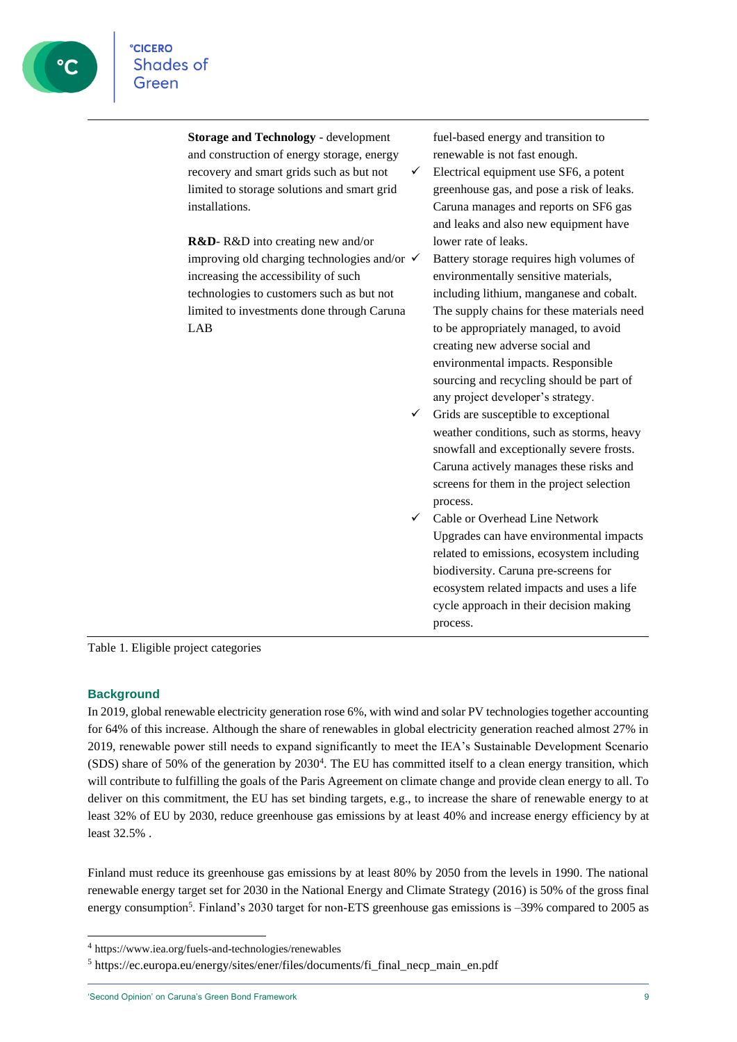**Storage and Technology** - development and construction of energy storage, energy recovery and smart grids such as but not limited to storage solutions and smart grid installations.

**R&D**- R&D into creating new and/or improving old charging technologies and/or  $\checkmark$ increasing the accessibility of such technologies to customers such as but not limited to investments done through Caruna LAB

fuel-based energy and transition to renewable is not fast enough.

 $\checkmark$  Electrical equipment use SF6, a potent greenhouse gas, and pose a risk of leaks. Caruna manages and reports on SF6 gas and leaks and also new equipment have lower rate of leaks.

- Battery storage requires high volumes of environmentally sensitive materials, including lithium, manganese and cobalt. The supply chains for these materials need to be appropriately managed, to avoid creating new adverse social and environmental impacts. Responsible sourcing and recycling should be part of any project developer's strategy.
- Grids are susceptible to exceptional weather conditions, such as storms, heavy snowfall and exceptionally severe frosts. Caruna actively manages these risks and screens for them in the project selection process.
- ✓ Cable or Overhead Line Network Upgrades can have environmental impacts related to emissions, ecosystem including biodiversity. Caruna pre-screens for ecosystem related impacts and uses a life cycle approach in their decision making process.

Table 1. Eligible project categories

#### **Background**

In 2019, global renewable electricity generation rose 6%, with wind and solar PV technologies together accounting for 64% of this increase. Although the share of renewables in global electricity generation reached almost 27% in 2019, renewable power still needs to expand significantly to meet the IEA's Sustainable Development Scenario (SDS) share of 50% of the generation by 2030<sup>4</sup>. The EU has committed itself to a clean energy transition, which will contribute to fulfilling the goals of the Paris Agreement on climate change and provide clean energy to all. To deliver on this commitment, the EU has set binding targets, e.g., to increase the share of renewable energy to at least 32% of EU by 2030, reduce greenhouse gas emissions by at least 40% and increase energy efficiency by at least 32.5% .

Finland must reduce its greenhouse gas emissions by at least 80% by 2050 from the levels in 1990. The national renewable energy target set for 2030 in the National Energy and Climate Strategy (2016) is 50% of the gross final energy consumption<sup>5</sup>. Finland's 2030 target for non-ETS greenhouse gas emissions is -39% compared to 2005 as

<sup>4</sup> https://www.iea.org/fuels-and-technologies/renewables

<sup>5</sup> https://ec.europa.eu/energy/sites/ener/files/documents/fi\_final\_necp\_main\_en.pdf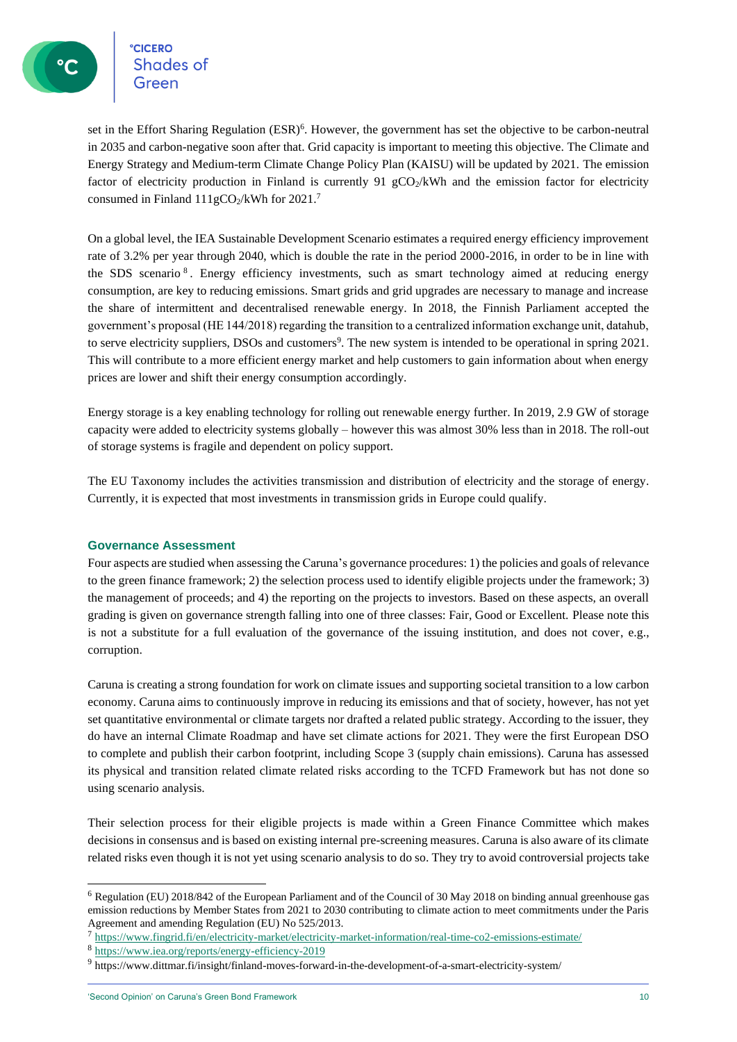**CICERO CICERO**<br>Shades of

set in the Effort Sharing Regulation (ESR)<sup>6</sup>. However, the government has set the objective to be carbon-neutral in 2035 and carbon-negative soon after that. Grid capacity is important to meeting this objective. The Climate and Energy Strategy and Medium-term Climate Change Policy Plan (KAISU) will be updated by 2021. The emission factor of electricity production in Finland is currently 91  $gCO<sub>2</sub>/kWh$  and the emission factor for electricity consumed in Finland  $111gCO<sub>2</sub>/kWh$  for  $2021.<sup>7</sup>$ 

On a global level, the IEA Sustainable Development Scenario estimates a required energy efficiency improvement rate of 3.2% per year through 2040, which is double the rate in the period 2000-2016, in order to be in line with the SDS scenario<sup>8</sup>. Energy efficiency investments, such as smart technology aimed at reducing energy consumption, are key to reducing emissions. Smart grids and grid upgrades are necessary to manage and increase the share of intermittent and decentralised renewable energy. In 2018, the Finnish Parliament accepted the government's proposal (HE 144/2018) regarding the transition to a centralized information exchange unit, datahub, to serve electricity suppliers, DSOs and customers<sup>9</sup>. The new system is intended to be operational in spring  $2021$ . This will contribute to a more efficient energy market and help customers to gain information about when energy prices are lower and shift their energy consumption accordingly.

Energy storage is a key enabling technology for rolling out renewable energy further. In 2019, 2.9 GW of storage capacity were added to electricity systems globally – however this was almost 30% less than in 2018. The roll-out of storage systems is fragile and dependent on policy support.

The EU Taxonomy includes the activities transmission and distribution of electricity and the storage of energy. Currently, it is expected that most investments in transmission grids in Europe could qualify.

#### **Governance Assessment**

Four aspects are studied when assessing the Caruna's governance procedures: 1) the policies and goals of relevance to the green finance framework; 2) the selection process used to identify eligible projects under the framework; 3) the management of proceeds; and 4) the reporting on the projects to investors. Based on these aspects, an overall grading is given on governance strength falling into one of three classes: Fair, Good or Excellent. Please note this is not a substitute for a full evaluation of the governance of the issuing institution, and does not cover, e.g., corruption.

Caruna is creating a strong foundation for work on climate issues and supporting societal transition to a low carbon economy. Caruna aims to continuously improve in reducing its emissions and that of society, however, has not yet set quantitative environmental or climate targets nor drafted a related public strategy. According to the issuer, they do have an internal Climate Roadmap and have set climate actions for 2021. They were the first European DSO to complete and publish their carbon footprint, including Scope 3 (supply chain emissions). Caruna has assessed its physical and transition related climate related risks according to the TCFD Framework but has not done so using scenario analysis.

Their selection process for their eligible projects is made within a Green Finance Committee which makes decisions in consensus and is based on existing internal pre-screening measures. Caruna is also aware of its climate related risks even though it is not yet using scenario analysis to do so. They try to avoid controversial projects take

<sup>6</sup> Regulation (EU) 2018/842 of the European Parliament and of the Council of 30 May 2018 on binding annual greenhouse gas emission reductions by Member States from 2021 to 2030 contributing to climate action to meet commitments under the Paris Agreement and amending Regulation (EU) No 525/2013.

<sup>7</sup> https://www.fingrid.fi/en/electricity-market/electricity-market-information/real-time-co2-emissions-estimate/

<sup>8</sup> <https://www.iea.org/reports/energy-efficiency-2019>

<sup>&</sup>lt;sup>9</sup> https://www.dittmar.fi/insight/finland-moves-forward-in-the-development-of-a-smart-electricity-system/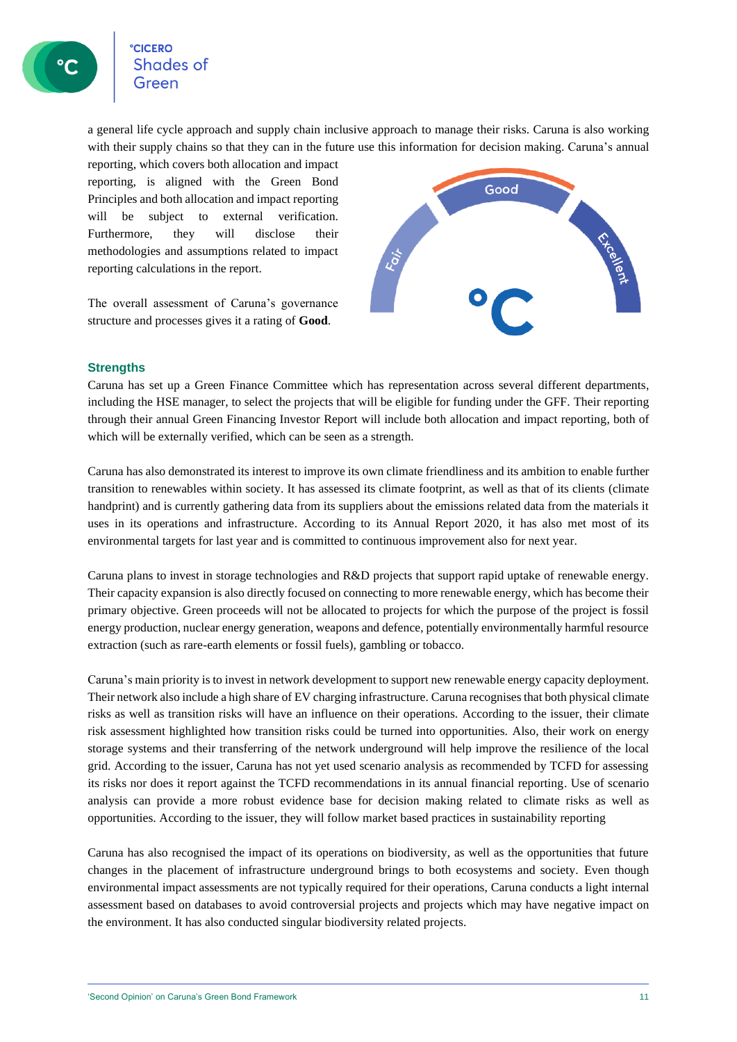**CICERO** Shades of

a general life cycle approach and supply chain inclusive approach to manage their risks. Caruna is also working with their supply chains so that they can in the future use this information for decision making. Caruna's annual

reporting, which covers both allocation and impact reporting, is aligned with the Green Bond Principles and both allocation and impact reporting will be subject to external verification. Furthermore, they will disclose their methodologies and assumptions related to impact reporting calculations in the report.

The overall assessment of Caruna's governance structure and processes gives it a rating of **Good**.



#### **Strengths**

Caruna has set up a Green Finance Committee which has representation across several different departments, including the HSE manager, to select the projects that will be eligible for funding under the GFF. Their reporting through their annual Green Financing Investor Report will include both allocation and impact reporting, both of which will be externally verified, which can be seen as a strength.

Caruna has also demonstrated its interest to improve its own climate friendliness and its ambition to enable further transition to renewables within society. It has assessed its climate footprint, as well as that of its clients (climate handprint) and is currently gathering data from its suppliers about the emissions related data from the materials it uses in its operations and infrastructure. According to its Annual Report 2020, it has also met most of its environmental targets for last year and is committed to continuous improvement also for next year.

Caruna plans to invest in storage technologies and R&D projects that support rapid uptake of renewable energy. Their capacity expansion is also directly focused on connecting to more renewable energy, which has become their primary objective. Green proceeds will not be allocated to projects for which the purpose of the project is fossil energy production, nuclear energy generation, weapons and defence, potentially environmentally harmful resource extraction (such as rare-earth elements or fossil fuels), gambling or tobacco.

Caruna's main priority is to invest in network development to support new renewable energy capacity deployment. Their network also include a high share of EV charging infrastructure. Caruna recognises that both physical climate risks as well as transition risks will have an influence on their operations. According to the issuer, their climate risk assessment highlighted how transition risks could be turned into opportunities. Also, their work on energy storage systems and their transferring of the network underground will help improve the resilience of the local grid. According to the issuer, Caruna has not yet used scenario analysis as recommended by TCFD for assessing its risks nor does it report against the TCFD recommendations in its annual financial reporting. Use of scenario analysis can provide a more robust evidence base for decision making related to climate risks as well as opportunities. According to the issuer, they will follow market based practices in sustainability reporting

Caruna has also recognised the impact of its operations on biodiversity, as well as the opportunities that future changes in the placement of infrastructure underground brings to both ecosystems and society. Even though environmental impact assessments are not typically required for their operations, Caruna conducts a light internal assessment based on databases to avoid controversial projects and projects which may have negative impact on the environment. It has also conducted singular biodiversity related projects.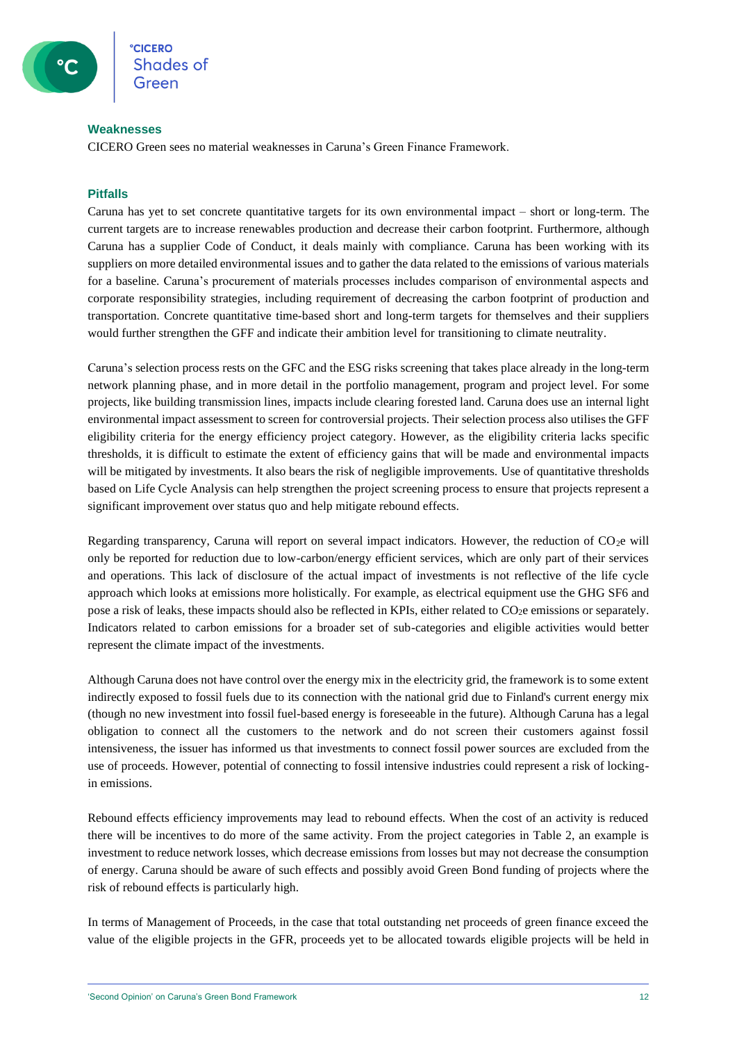#### **Weaknesses**

CICERO Green sees no material weaknesses in Caruna's Green Finance Framework.

#### **Pitfalls**

Caruna has yet to set concrete quantitative targets for its own environmental impact – short or long-term. The current targets are to increase renewables production and decrease their carbon footprint. Furthermore, although Caruna has a supplier Code of Conduct, it deals mainly with compliance. Caruna has been working with its suppliers on more detailed environmental issues and to gather the data related to the emissions of various materials for a baseline. Caruna's procurement of materials processes includes comparison of environmental aspects and corporate responsibility strategies, including requirement of decreasing the carbon footprint of production and transportation. Concrete quantitative time-based short and long-term targets for themselves and their suppliers would further strengthen the GFF and indicate their ambition level for transitioning to climate neutrality.

Caruna's selection process rests on the GFC and the ESG risks screening that takes place already in the long-term network planning phase, and in more detail in the portfolio management, program and project level. For some projects, like building transmission lines, impacts include clearing forested land. Caruna does use an internal light environmental impact assessment to screen for controversial projects. Their selection process also utilises the GFF eligibility criteria for the energy efficiency project category. However, as the eligibility criteria lacks specific thresholds, it is difficult to estimate the extent of efficiency gains that will be made and environmental impacts will be mitigated by investments. It also bears the risk of negligible improvements. Use of quantitative thresholds based on Life Cycle Analysis can help strengthen the project screening process to ensure that projects represent a significant improvement over status quo and help mitigate rebound effects.

Regarding transparency, Caruna will report on several impact indicators. However, the reduction of  $CO<sub>2</sub>e$  will only be reported for reduction due to low-carbon/energy efficient services, which are only part of their services and operations. This lack of disclosure of the actual impact of investments is not reflective of the life cycle approach which looks at emissions more holistically. For example, as electrical equipment use the GHG SF6 and pose a risk of leaks, these impacts should also be reflected in KPIs, either related to CO2e emissions or separately. Indicators related to carbon emissions for a broader set of sub-categories and eligible activities would better represent the climate impact of the investments.

Although Caruna does not have control over the energy mix in the electricity grid, the framework is to some extent indirectly exposed to fossil fuels due to its connection with the national grid due to Finland's current energy mix (though no new investment into fossil fuel-based energy is foreseeable in the future). Although Caruna has a legal obligation to connect all the customers to the network and do not screen their customers against fossil intensiveness, the issuer has informed us that investments to connect fossil power sources are excluded from the use of proceeds. However, potential of connecting to fossil intensive industries could represent a risk of lockingin emissions.

Rebound effects efficiency improvements may lead to rebound effects. When the cost of an activity is reduced there will be incentives to do more of the same activity. From the project categories in Table 2, an example is investment to reduce network losses, which decrease emissions from losses but may not decrease the consumption of energy. Caruna should be aware of such effects and possibly avoid Green Bond funding of projects where the risk of rebound effects is particularly high.

In terms of Management of Proceeds, in the case that total outstanding net proceeds of green finance exceed the value of the eligible projects in the GFR, proceeds yet to be allocated towards eligible projects will be held in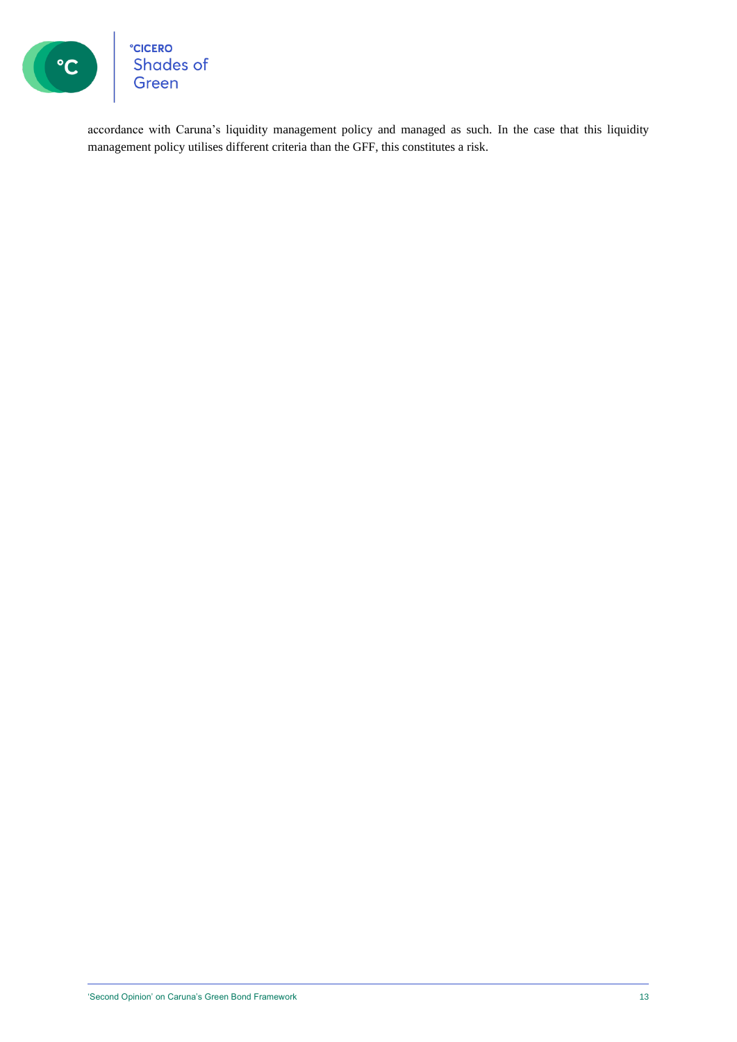

°cicero<br>Shades of<br>Green

accordance with Caruna's liquidity management policy and managed as such. In the case that this liquidity management policy utilises different criteria than the GFF, this constitutes a risk.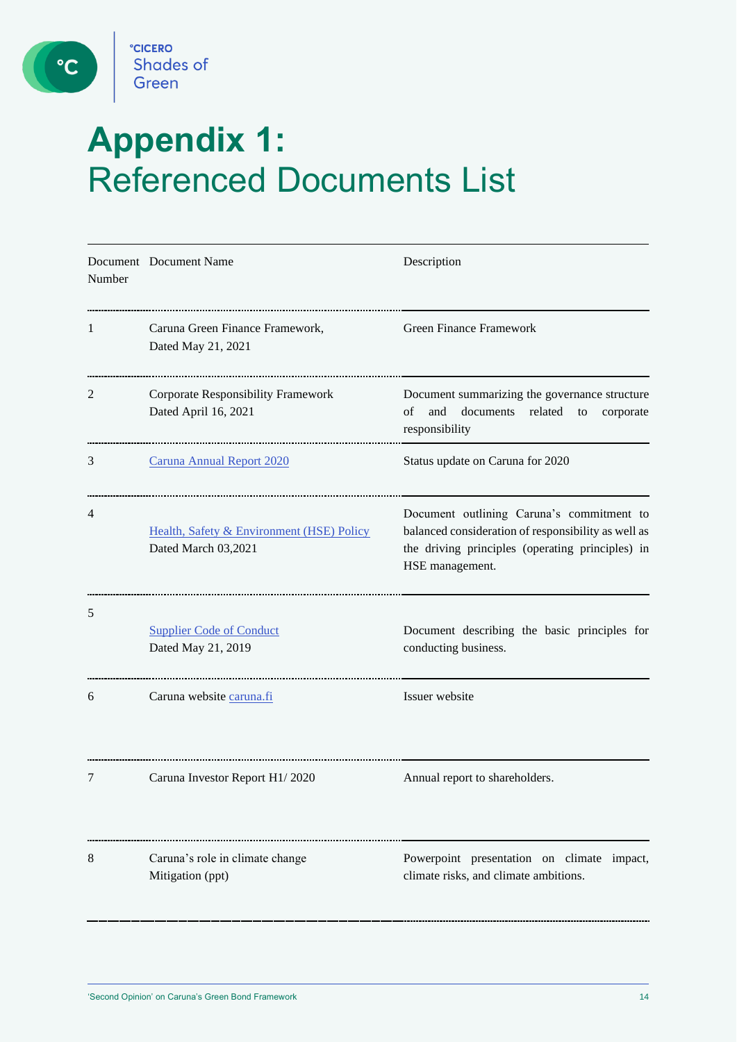

 $\circ$ 

# **Appendix 1:**  Referenced Documents List

| Number | Document Document Name                                            | Description                                                                                                                                                             |
|--------|-------------------------------------------------------------------|-------------------------------------------------------------------------------------------------------------------------------------------------------------------------|
| 1      | Caruna Green Finance Framework,<br>Dated May 21, 2021             | <b>Green Finance Framework</b>                                                                                                                                          |
| 2      | <b>Corporate Responsibility Framework</b><br>Dated April 16, 2021 | Document summarizing the governance structure<br>of<br>and<br>documents related<br>to<br>corporate<br>responsibility                                                    |
| 3      | <b>Caruna Annual Report 2020</b>                                  | Status update on Caruna for 2020                                                                                                                                        |
| 4      | Health, Safety & Environment (HSE) Policy<br>Dated March 03,2021  | Document outlining Caruna's commitment to<br>balanced consideration of responsibility as well as<br>the driving principles (operating principles) in<br>HSE management. |
| 5      | <b>Supplier Code of Conduct</b><br>Dated May 21, 2019             | Document describing the basic principles for<br>conducting business.                                                                                                    |
| 6      | Caruna website caruna.fi                                          | Issuer website                                                                                                                                                          |
| 7      | Caruna Investor Report H1/2020                                    | Annual report to shareholders.                                                                                                                                          |
| 8      | Caruna's role in climate change<br>Mitigation (ppt)               | Powerpoint presentation on climate impact,<br>climate risks, and climate ambitions.                                                                                     |